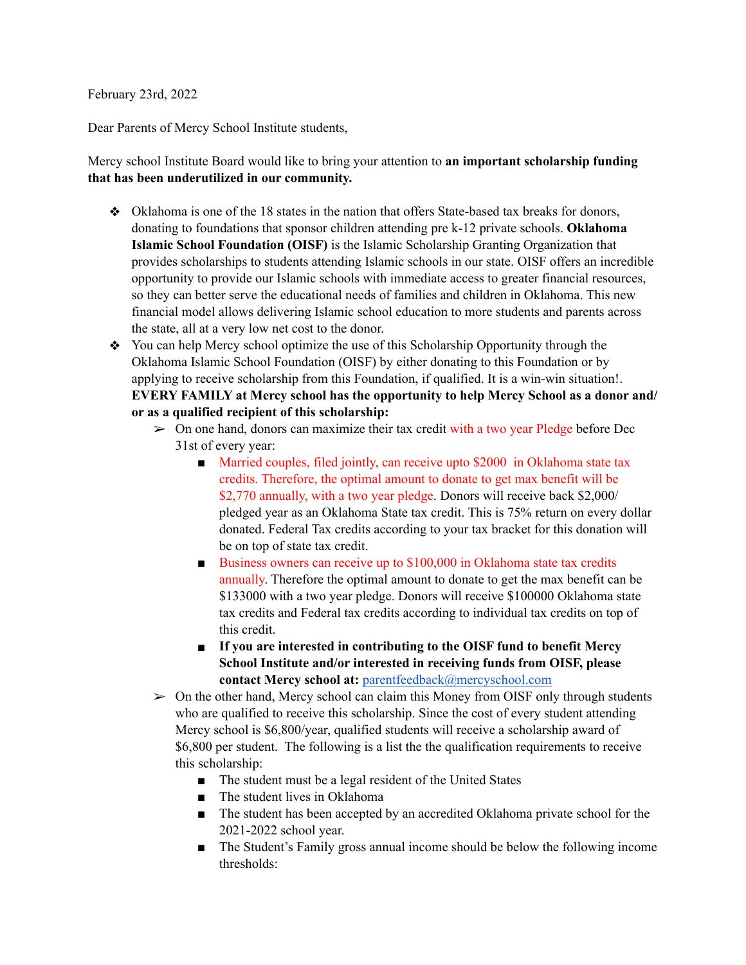## February 23rd, 2022

Dear Parents of Mercy School Institute students,

## Mercy school Institute Board would like to bring your attention to **an important scholarship funding that has been underutilized in our community.**

- ❖ Oklahoma is one of the 18 states in the nation that offers State-based tax breaks for donors, donating to foundations that sponsor children attending pre k-12 private schools. **Oklahoma Islamic School Foundation (OISF)** is the Islamic Scholarship Granting Organization that provides scholarships to students attending Islamic schools in our state. OISF offers an incredible opportunity to provide our Islamic schools with immediate access to greater financial resources, so they can better serve the educational needs of families and children in Oklahoma. This new financial model allows delivering Islamic school education to more students and parents across the state, all at a very low net cost to the donor.
- ❖ You can help Mercy school optimize the use of this Scholarship Opportunity through the Oklahoma Islamic School Foundation (OISF) by either donating to this Foundation or by applying to receive scholarship from this Foundation, if qualified. It is a win-win situation!. **EVERY FAMILY at Mercy school has the opportunity to help Mercy School as a donor and/ or as a qualified recipient of this scholarship:** 
	- $\triangleright$  On one hand, donors can maximize their tax credit with a two year Pledge before Dec 31st of every year:
		- Married couples, filed jointly, can receive upto \$2000 in Oklahoma state tax credits. Therefore, the optimal amount to donate to get max benefit will be \$2,770 annually, with a two year pledge. Donors will receive back \$2,000/ pledged year as an Oklahoma State tax credit. This is 75% return on every dollar donated. Federal Tax credits according to your tax bracket for this donation will be on top of state tax credit.
		- Business owners can receive up to \$100,000 in Oklahoma state tax credits annually. Therefore the optimal amount to donate to get the max benefit can be \$133000 with a two year pledge. Donors will receive \$100000 Oklahoma state tax credits and Federal tax credits according to individual tax credits on top of this credit.
		- **If you are interested in contributing to the OISF fund to benefit Mercy School Institute and/or interested in receiving funds from OISF, please contact Mercy school at:** [parentfeedback@mercyschool.com](mailto:parentfeedback@mercyschool.com)
	- $\geq 0$ n the other hand, Mercy school can claim this Money from OISF only through students who are qualified to receive this scholarship. Since the cost of every student attending Mercy school is \$6,800/year, qualified students will receive a scholarship award of \$6,800 per student. The following is a list the the qualification requirements to receive this scholarship:
		- The student must be a legal resident of the United States
		- The student lives in Oklahoma
		- The student has been accepted by an accredited Oklahoma private school for the 2021-2022 school year.
		- The Student's Family gross annual income should be below the following income thresholds: